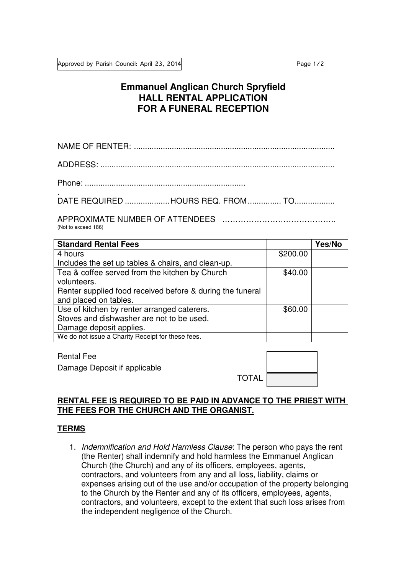# **Emmanuel Anglican Church Spryfield HALL RENTAL APPLICATION FOR A FUNERAL RECEPTION**

NAME OF RENTER: ..........................................................................................

ADDRESS: .........................................................................................................

Phone: ........................................................................

. DATE REQUIRED .................... HOURS REQ. FROM ............... TO ..................

APPROXIMATE NUMBER OF ATTENDEES ……………………………………. (Not to exceed 186)

| <b>Standard Rental Fees</b>                               |          | Yes/No |
|-----------------------------------------------------------|----------|--------|
| 4 hours                                                   | \$200.00 |        |
| Includes the set up tables & chairs, and clean-up.        |          |        |
| Tea & coffee served from the kitchen by Church            | \$40.00  |        |
| volunteers.                                               |          |        |
| Renter supplied food received before & during the funeral |          |        |
| and placed on tables.                                     |          |        |
| Use of kitchen by renter arranged caterers.               | \$60.00  |        |
| Stoves and dishwasher are not to be used.                 |          |        |
| Damage deposit applies.                                   |          |        |
| We do not issue a Charity Receipt for these fees.         |          |        |

Rental Fee

Damage Deposit if applicable

| <b>TOTAL</b> |  |
|--------------|--|
|              |  |

## **RENTAL FEE IS REQUIRED TO BE PAID IN ADVANCE TO THE PRIEST WITH THE FEES FOR THE CHURCH AND THE ORGANIST.**

### **TERMS**

1. Indemnification and Hold Harmless Clause: The person who pays the rent (the Renter) shall indemnify and hold harmless the Emmanuel Anglican Church (the Church) and any of its officers, employees, agents, contractors, and volunteers from any and all loss, liability, claims or expenses arising out of the use and/or occupation of the property belonging to the Church by the Renter and any of its officers, employees, agents, contractors, and volunteers, except to the extent that such loss arises from the independent negligence of the Church.